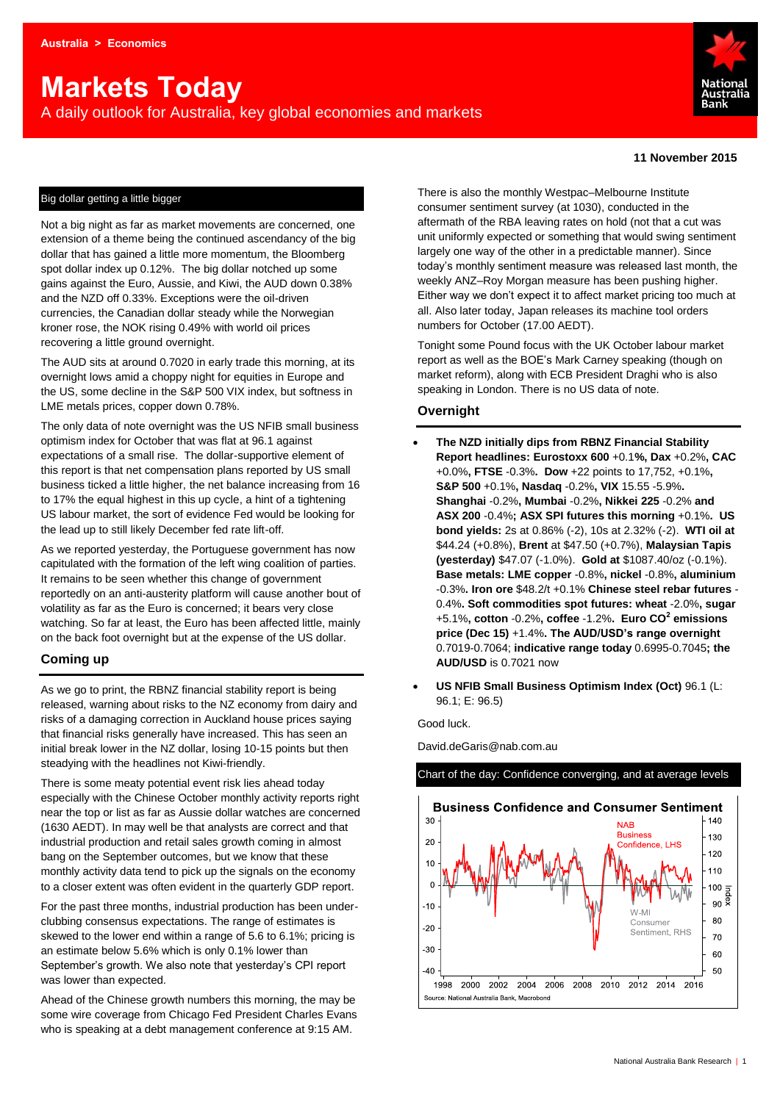# **Markets Today**

A daily outlook for Australia, key global economies and markets



#### **11 November 2015**

#### Big dollar getting a little bigger

Not a big night as far as market movements are concerned, one extension of a theme being the continued ascendancy of the big dollar that has gained a little more momentum, the Bloomberg spot dollar index up 0.12%. The big dollar notched up some gains against the Euro, Aussie, and Kiwi, the AUD down 0.38% and the NZD off 0.33%. Exceptions were the oil-driven currencies, the Canadian dollar steady while the Norwegian kroner rose, the NOK rising 0.49% with world oil prices recovering a little ground overnight.

The AUD sits at around 0.7020 in early trade this morning, at its overnight lows amid a choppy night for equities in Europe and the US, some decline in the S&P 500 VIX index, but softness in LME metals prices, copper down 0.78%.

The only data of note overnight was the US NFIB small business optimism index for October that was flat at 96.1 against expectations of a small rise. The dollar-supportive element of this report is that net compensation plans reported by US small business ticked a little higher, the net balance increasing from 16 to 17% the equal highest in this up cycle, a hint of a tightening US labour market, the sort of evidence Fed would be looking for the lead up to still likely December fed rate lift-off.

As we reported yesterday, the Portuguese government has now capitulated with the formation of the left wing coalition of parties. It remains to be seen whether this change of government reportedly on an anti-austerity platform will cause another bout of volatility as far as the Euro is concerned; it bears very close watching. So far at least, the Euro has been affected little, mainly on the back foot overnight but at the expense of the US dollar.

#### **Coming up**

As we go to print, the RBNZ financial stability report is being released, warning about risks to the NZ economy from dairy and risks of a damaging correction in Auckland house prices saying that financial risks generally have increased. This has seen an initial break lower in the NZ dollar, losing 10-15 points but then steadying with the headlines not Kiwi-friendly.

There is some meaty potential event risk lies ahead today especially with the Chinese October monthly activity reports right near the top or list as far as Aussie dollar watches are concerned (1630 AEDT). In may well be that analysts are correct and that industrial production and retail sales growth coming in almost bang on the September outcomes, but we know that these monthly activity data tend to pick up the signals on the economy to a closer extent was often evident in the quarterly GDP report.

For the past three months, industrial production has been underclubbing consensus expectations. The range of estimates is skewed to the lower end within a range of 5.6 to 6.1%; pricing is an estimate below 5.6% which is only 0.1% lower than September's growth. We also note that yesterday's CPI report was lower than expected.

Ahead of the Chinese growth numbers this morning, the may be some wire coverage from Chicago Fed President Charles Evans who is speaking at a debt management conference at 9:15 AM.

There is also the monthly Westpac–Melbourne Institute consumer sentiment survey (at 1030), conducted in the aftermath of the RBA leaving rates on hold (not that a cut was unit uniformly expected or something that would swing sentiment largely one way of the other in a predictable manner). Since today's monthly sentiment measure was released last month, the weekly ANZ–Roy Morgan measure has been pushing higher. Either way we don't expect it to affect market pricing too much at all. Also later today, Japan releases its machine tool orders numbers for October (17.00 AEDT).

Tonight some Pound focus with the UK October labour market report as well as the BOE's Mark Carney speaking (though on market reform), along with ECB President Draghi who is also speaking in London. There is no US data of note.

#### **Overnight**

- **The NZD initially dips from RBNZ Financial Stability Report headlines: Eurostoxx 600** +0.1**%, Dax** +0.2%**, CAC**  +0.0%**, FTSE** -0.3%**. Dow** +22 points to 17,752, +0.1%**, S&P 500** +0.1%**, Nasdaq** -0.2%**, VIX** 15.55 -5.9%**. Shanghai** -0.2%**, Mumbai** -0.2%**, Nikkei 225** -0.2% **and ASX 200** -0.4%**; ASX SPI futures this morning** +0.1%**. US bond yields:** 2s at 0.86% (-2), 10s at 2.32% (-2). **WTI oil at**  \$44.24 (+0.8%), **Brent** at \$47.50 (+0.7%), **Malaysian Tapis (yesterday)** \$47.07 (-1.0%). **Gold at** \$1087.40/oz (-0.1%). **Base metals: LME copper** -0.8%**, nickel** -0.8%**, aluminium** -0.3%**. Iron ore** \$48.2/t +0.1% **Chinese steel rebar futures** - 0.4%**. Soft commodities spot futures: wheat** -2.0%**, sugar** +5.1%**, cotton** -0.2%**, coffee** -1.2%**. Euro CO<sup>2</sup> emissions price (Dec 15)** +1.4%**. The AUD/USD's range overnight** 0.7019-0.7064; **indicative range today** 0.6995-0.7045**; the AUD/USD** is 0.7021 now
- **US NFIB Small Business Optimism Index (Oct)** 96.1 (L: 96.1; E: 96.5)

Good luck.

David.deGaris@nab.com.au



#### Chart of the day: Confidence converging, and at average levels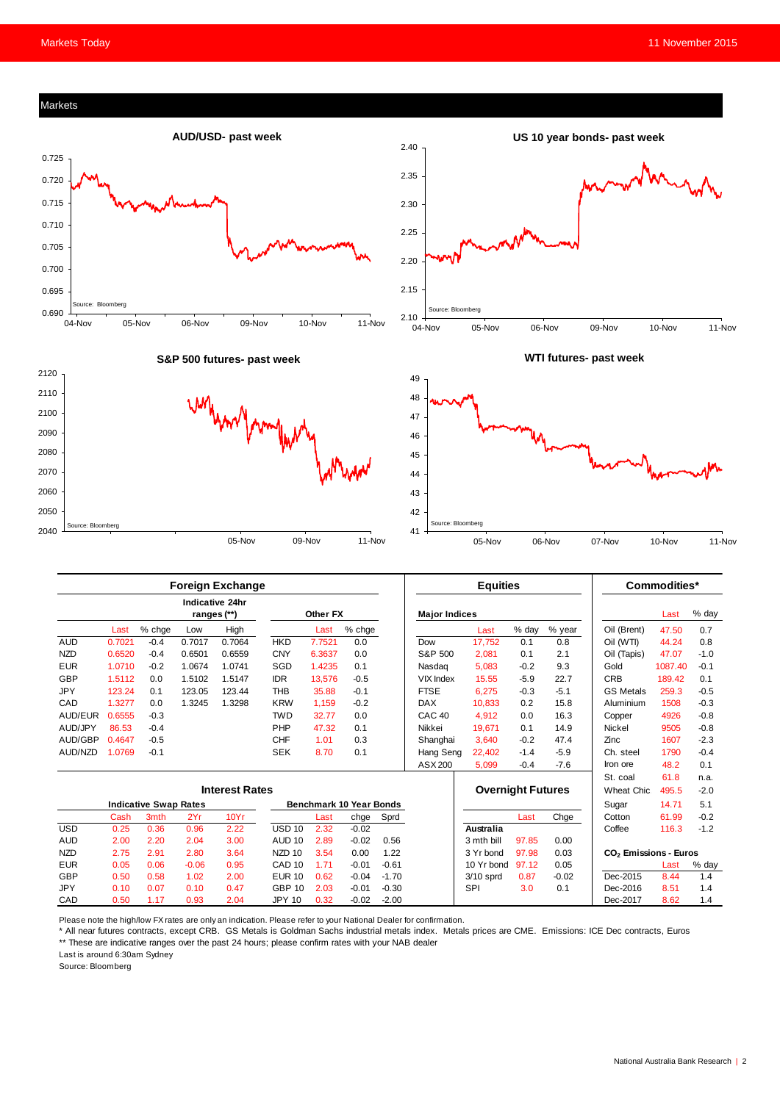#### Markets



|                       | <b>Foreign Exchange</b> |                              |         |                                       |                         |          |         | <b>Equities</b> |                          |                  |        | Commodities* |                                   |         |        |
|-----------------------|-------------------------|------------------------------|---------|---------------------------------------|-------------------------|----------|---------|-----------------|--------------------------|------------------|--------|--------------|-----------------------------------|---------|--------|
|                       |                         |                              |         | <b>Indicative 24hr</b><br>ranges (**) |                         | Other FX |         |                 | <b>Major Indices</b>     |                  |        |              |                                   | Last    | % day  |
|                       | Last                    | % chge                       | Low     | High                                  |                         | Last     | % chge  |                 |                          | Last             | % day  | % year       | Oil (Brent)                       | 47.50   | 0.7    |
| <b>AUD</b>            | 0.7021                  | $-0.4$                       | 0.7017  | 0.7064                                | <b>HKD</b>              | 7.7521   | 0.0     |                 | Dow                      | 17,752           | 0.1    | 0.8          | Oil (WTI)                         | 44.24   | 0.8    |
| <b>NZD</b>            | 0.6520                  | $-0.4$                       | 0.6501  | 0.6559                                | <b>CNY</b>              | 6.3637   | 0.0     |                 | S&P 500                  | 2,081            | 0.1    | 2.1          | Oil (Tapis)                       | 47.07   | $-1.0$ |
| <b>EUR</b>            | 1.0710                  | $-0.2$                       | 1.0674  | 1.0741                                | SGD                     | 1.4235   | 0.1     |                 | Nasdag                   | 5.083            | $-0.2$ | 9.3          | Gold                              | 1087.40 | $-0.1$ |
| GBP                   | 1.5112                  | 0.0                          | 1.5102  | 1.5147                                | <b>IDR</b>              | 13,576   | $-0.5$  |                 | <b>VIX Index</b>         | 15.55            | $-5.9$ | 22.7         | <b>CRB</b>                        | 189.42  | 0.1    |
| <b>JPY</b>            | 123.24                  | 0.1                          | 123.05  | 123.44                                | <b>THB</b>              | 35.88    | $-0.1$  |                 | <b>FTSE</b>              | 6,275            | $-0.3$ | $-5.1$       | <b>GS Metals</b>                  | 259.3   | $-0.5$ |
| CAD                   | 1.3277                  | 0.0                          | 1.3245  | 1.3298                                | <b>KRW</b>              | 1,159    | $-0.2$  |                 | <b>DAX</b>               | 10,833           | 0.2    | 15.8         | Aluminium                         | 1508    | $-0.3$ |
| AUD/EUR               | 0.6555                  | $-0.3$                       |         |                                       | <b>TWD</b>              | 32.77    | 0.0     |                 | CAC <sub>40</sub>        | 4.912            | 0.0    | 16.3         | Copper                            | 4926    | $-0.8$ |
| AUD/JPY               | 86.53                   | $-0.4$                       |         |                                       | PHP                     | 47.32    | 0.1     |                 | Nikkei                   | 19,671           | 0.1    | 14.9         | Nickel                            | 9505    | $-0.8$ |
| AUD/GBP               | 0.4647                  | $-0.5$                       |         |                                       | <b>CHF</b>              | 1.01     | 0.3     |                 | Shanghai                 | 3,640            | $-0.2$ | 47.4         | Zinc                              | 1607    | $-2.3$ |
| AUD/NZD               | 1.0769                  | $-0.1$                       |         |                                       | <b>SEK</b>              | 8.70     | 0.1     |                 | Hang Seng                | 22,402           | $-1.4$ | $-5.9$       | Ch. steel                         | 1790    | $-0.4$ |
|                       |                         |                              |         |                                       |                         |          |         |                 | ASX 200                  | 5,099            | $-0.4$ | $-7.6$       | Iron ore                          | 48.2    | 0.1    |
|                       |                         |                              |         |                                       |                         |          |         |                 |                          |                  |        |              | St. coal                          | 61.8    | n.a.   |
| <b>Interest Rates</b> |                         |                              |         |                                       |                         |          |         |                 | <b>Overnight Futures</b> |                  |        | Wheat Chic.  | 495.5                             | $-2.0$  |        |
|                       |                         | <b>Indicative Swap Rates</b> |         |                                       | Benchmark 10 Year Bonds |          |         |                 |                          |                  |        | Sugar        | 14.71                             | 5.1     |        |
|                       | Cash                    | 3mth                         | 2Yr     | 10Yr                                  |                         | Last     | chge    | Sprd            |                          |                  | Last   | Chge         | Cotton                            | 61.99   | $-0.2$ |
| <b>USD</b>            | 0.25                    | 0.36                         | 0.96    | 2.22                                  | <b>USD 10</b>           | 2.32     | $-0.02$ |                 |                          | <b>Australia</b> |        |              | Coffee                            | 116.3   | $-1.2$ |
| <b>AUD</b>            | 2.00                    | 2.20                         | 2.04    | 3.00                                  | AUD <sub>10</sub>       | 2.89     | $-0.02$ | 0.56            |                          | 3 mth bill       | 97.85  | 0.00         |                                   |         |        |
| <b>NZD</b>            | 2.75                    | 2.91                         | 2.80    | 3.64                                  | NZD <sub>10</sub>       | 3.54     | 0.00    | 1.22            |                          | 3 Yr bond        | 97.98  | 0.03         | CO <sub>2</sub> Emissions - Euros |         |        |
| <b>EUR</b>            | 0.05                    | 0.06                         | $-0.06$ | 0.95                                  | CAD <sub>10</sub>       | 1.71     | $-0.01$ | $-0.61$         |                          | 10 Yr bond       | 97.12  | 0.05         |                                   | Last    | % day  |
| GBP                   | 0.50                    | 0.58                         | 1.02    | 2.00                                  | <b>EUR 10</b>           | 0.62     | $-0.04$ | $-1.70$         |                          | $3/10$ sprd      | 0.87   | $-0.02$      | Dec-2015                          | 8.44    | 1.4    |
| <b>JPY</b>            | 0.10                    | 0.07                         | 0.10    | 0.47                                  | <b>GBP 10</b>           | 2.03     | $-0.01$ | $-0.30$         |                          | SPI              | 3.0    | 0.1          | Dec-2016                          | 8.51    | 1.4    |
| CAD                   | 0.50                    | 1.17                         | 0.93    | 2.04                                  | <b>JPY 10</b>           | 0.32     | $-0.02$ | $-2.00$         |                          |                  |        |              | Dec-2017                          | 8.62    | 1.4    |

Please note the high/low FX rates are only an indication. Please refer to your National Dealer for confirmation.

\* All near futures contracts, except CRB. GS Metals is Goldman Sachs industrial metals index. Metals prices are CME. Emissions: ICE Dec contracts, Euros \*\* These are indicative ranges over the past 24 hours; please confirm rates with your NAB dealer

Last is around 6:30am Sydney

Source: Bloomberg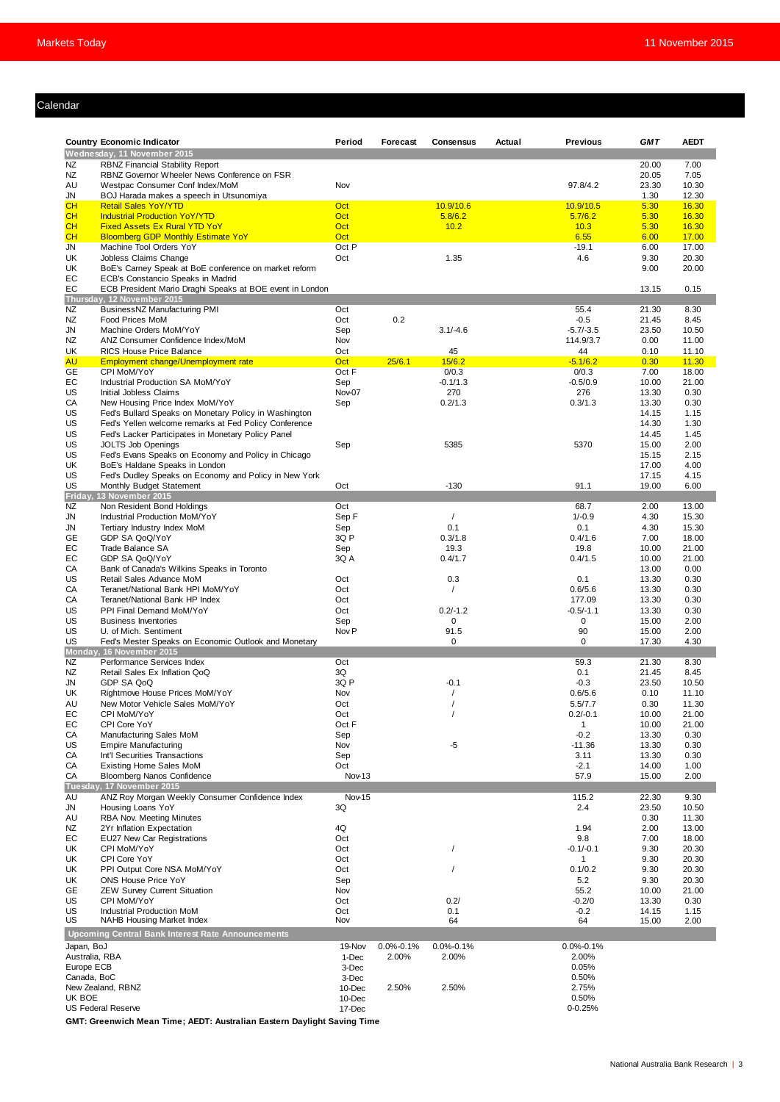#### Calendar

|                                                                     | <b>Country Economic Indicator</b>                        | Period           | Forecast        | Consensus       | Actual | <b>Previous</b>   | <b>GMT</b>     | <b>AEDT</b>    |
|---------------------------------------------------------------------|----------------------------------------------------------|------------------|-----------------|-----------------|--------|-------------------|----------------|----------------|
|                                                                     | Wednesday, 11 November 2015                              |                  |                 |                 |        |                   |                |                |
| NZ                                                                  | <b>RBNZ Financial Stability Report</b>                   |                  |                 |                 |        |                   | 20.00          | 7.00           |
| NZ                                                                  | RBNZ Governor Wheeler News Conference on FSR             |                  |                 |                 |        |                   | 20.05          | 7.05           |
| AU                                                                  | Westpac Consumer Conf Index/MoM                          | Nov              |                 |                 |        | 97.8/4.2          | 23.30          | 10.30          |
| JN                                                                  | BOJ Harada makes a speech in Utsunomiya                  |                  |                 |                 |        |                   | 1.30           | 12.30          |
| <b>CH</b>                                                           | <b>Retail Sales YoY/YTD</b>                              | Oct              |                 | 10.9/10.6       |        | 10.9/10.5         | 5.30           | 16.30          |
| <b>CH</b>                                                           | <b>Industrial Production YoY/YTD</b>                     | Oct              |                 | 5.8/6.2         |        | 5.7/6.2           | 5.30           | 16.30          |
| CH                                                                  | <b>Fixed Assets Ex Rural YTD YoY</b>                     | Oct              |                 | 10.2            |        | 10.3              | 5.30           | 16.30          |
| <b>CH</b>                                                           | <b>Bloomberg GDP Monthly Estimate YoY</b>                | Oct              |                 |                 |        | 6.55              | 6.00           | 17.00          |
| JN                                                                  | Machine Tool Orders YoY                                  | Oct P            |                 |                 |        | $-19.1$           | 6.00           | 17.00          |
| UK                                                                  | Jobless Claims Change                                    | Oct              |                 | 1.35            |        | 4.6               | 9.30           | 20.30          |
| UK                                                                  | BoE's Carney Speak at BoE conference on market reform    |                  |                 |                 |        |                   | 9.00           | 20.00          |
| EC                                                                  | ECB's Constancio Speaks in Madrid                        |                  |                 |                 |        |                   |                |                |
| EC                                                                  | ECB President Mario Draghi Speaks at BOE event in London |                  |                 |                 |        |                   | 13.15          | 0.15           |
|                                                                     | Thursday, 12 November 2015                               |                  |                 |                 |        |                   |                |                |
| <b>NZ</b>                                                           | BusinessNZ Manufacturing PMI                             | Oct              | 0.2             |                 |        | 55.4              | 21.30          | 8.30           |
| <b>NZ</b>                                                           | Food Prices MoM                                          | Oct              |                 |                 |        | $-0.5$            | 21.45          | 8.45           |
| <b>JN</b>                                                           | Machine Orders MoM/YoY                                   | Sep              |                 | $3.1/-4.6$      |        | $-5.7/-3.5$       | 23.50          | 10.50          |
| <b>NZ</b><br>UK                                                     | ANZ Consumer Confidence Index/MoM                        | Nov              |                 |                 |        | 114.9/3.7         | 0.00           | 11.00          |
| <b>AU</b>                                                           | RICS House Price Balance                                 | Oct<br>Oct       | 25/6.1          | 45<br>15/6.2    |        | 44<br>$-5.1/6.2$  | 0.10<br>0.30   | 11.10<br>11.30 |
| <b>GE</b>                                                           | Employment change/Unemployment rate<br>CPI MoM/YoY       | Oct F            |                 | 0/0.3           |        | 0/0.3             | 7.00           | 18.00          |
| EС                                                                  | Industrial Production SA MoM/YoY                         |                  |                 | $-0.1/1.3$      |        |                   |                | 21.00          |
| US                                                                  | Initial Jobless Claims                                   | Sep<br>Nov-07    |                 | 270             |        | $-0.5/0.9$<br>276 | 10.00<br>13.30 | 0.30           |
| CA                                                                  | New Housing Price Index MoM/YoY                          |                  |                 | 0.2/1.3         |        | 0.3/1.3           | 13.30          | 0.30           |
| US                                                                  | Fed's Bullard Speaks on Monetary Policy in Washington    | Sep              |                 |                 |        |                   | 14.15          | 1.15           |
| US                                                                  | Fed's Yellen welcome remarks at Fed Policy Conference    |                  |                 |                 |        |                   | 14.30          | 1.30           |
| US                                                                  | Fed's Lacker Participates in Monetary Policy Panel       |                  |                 |                 |        |                   | 14.45          | 1.45           |
| US                                                                  | <b>JOLTS Job Openings</b>                                | Sep              |                 | 5385            |        | 5370              | 15.00          | 2.00           |
| US                                                                  | Fed's Evans Speaks on Economy and Policy in Chicago      |                  |                 |                 |        |                   | 15.15          | 2.15           |
| UK                                                                  | BoE's Haldane Speaks in London                           |                  |                 |                 |        |                   | 17.00          | 4.00           |
| US                                                                  | Fed's Dudley Speaks on Economy and Policy in New York    |                  |                 |                 |        |                   | 17.15          | 4.15           |
| US                                                                  | Monthly Budget Statement                                 | Oct              |                 | $-130$          |        | 91.1              | 19.00          | 6.00           |
| Friday,                                                             | 13 November 2015                                         |                  |                 |                 |        |                   |                |                |
| <b>NZ</b>                                                           | Non Resident Bond Holdings                               | Oct              |                 |                 |        | 68.7              | 2.00           | 13.00          |
| JN                                                                  | Industrial Production MoM/YoY                            | Sep F            |                 | $\prime$        |        | $1/-0.9$          | 4.30           | 15.30          |
| JN                                                                  | Tertiary Industry Index MoM                              | Sep              |                 | 0.1             |        | 0.1               | 4.30           | 15.30          |
| <b>GE</b>                                                           | GDP SA QoQ/YoY                                           | 3Q P             |                 | 0.3/1.8         |        | 0.4/1.6           | 7.00           | 18.00          |
| EC                                                                  | Trade Balance SA                                         | Sep              |                 | 19.3            |        | 19.8              | 10.00          | 21.00          |
| EC                                                                  | GDP SA QoQ/YoY                                           | 3Q A             |                 | 0.4/1.7         |        | 0.4/1.5           | 10.00          | 21.00          |
| CA                                                                  | Bank of Canada's Wilkins Speaks in Toronto               |                  |                 |                 |        |                   | 13.00          | 0.00           |
| US                                                                  | Retail Sales Advance MoM                                 | Oct              |                 | 0.3             |        | 0.1               | 13.30          | 0.30           |
| CA                                                                  | Teranet/National Bank HPI MoM/YoY                        | Oct              |                 | $\prime$        |        | 0.6/5.6           | 13.30          | 0.30           |
| СA                                                                  | Teranet/National Bank HP Index                           | Oct              |                 |                 |        | 177.09            | 13.30          | 0.30           |
| US                                                                  | PPI Final Demand MoM/YoY                                 | Oct              |                 | $0.2/-1.2$      |        | $-0.5/-1.1$       | 13.30          | 0.30           |
| US                                                                  | <b>Business Inventories</b>                              | Sep              |                 | 0               |        | 0                 | 15.00          | 2.00           |
| US                                                                  | U. of Mich. Sentiment                                    | Nov <sub>P</sub> |                 | 91.5            |        | 90                | 15.00          | 2.00           |
| US                                                                  | Fed's Mester Speaks on Economic Outlook and Monetary     |                  |                 | $\mathbf 0$     |        | 0                 | 17.30          | 4.30           |
|                                                                     | Monday, 16 November 2015                                 |                  |                 |                 |        |                   |                |                |
| NZ                                                                  | Performance Services Index                               | Oct              |                 |                 |        | 59.3              | 21.30          | 8.30           |
| NZ                                                                  | Retail Sales Ex Inflation QoQ                            | 3Q               |                 |                 |        | 0.1               | 21.45          | 8.45           |
| <b>JN</b>                                                           | GDP SA QoQ                                               | 3Q P             |                 | $-0.1$          |        | $-0.3$            | 23.50          | 10.50          |
| UK                                                                  | Rightmove House Prices MoM/YoY                           | Nov              |                 |                 |        | 0.6/5.6           | 0.10           | 11.10          |
| AU                                                                  | New Motor Vehicle Sales MoM/YoY                          | Oct              |                 |                 |        | 5.5/7.7           | 0.30           | 11.30          |
| EC                                                                  | CPI MoM/YoY                                              | Oct              |                 | $\prime$        |        | $0.2/-0.1$        | 10.00          | 21.00          |
| EC                                                                  | CPI Core YoY                                             | Oct F            |                 |                 |        | $\mathbf{1}$      | 10.00          | 21.00          |
| СA                                                                  | Manufacturing Sales MoM                                  | Sep              |                 |                 |        | $-0.2$            | 13.30          | 0.30           |
| US                                                                  | <b>Empire Manufacturing</b>                              | Nov              |                 | -5              |        | $-11.36$          | 13.30          | 0.30           |
| CA                                                                  | Int'l Securities Transactions                            | Sep              |                 |                 |        | 3.11              | 13.30          | 0.30           |
| CA                                                                  | <b>Existing Home Sales MoM</b>                           | Oct              |                 |                 |        | $-2.1$            | 14.00          | 1.00           |
| СA                                                                  | <b>Bloomberg Nanos Confidence</b>                        | Nov-13           |                 |                 |        | 57.9              | 15.00          | 2.00           |
|                                                                     | Tuesday, 17 November 2015                                |                  |                 |                 |        |                   |                |                |
| AU                                                                  | ANZ Roy Morgan Weekly Consumer Confidence Index          | Nov-15           |                 |                 |        | 115.2             | 22.30          | 9.30           |
| JN                                                                  | Housing Loans YoY                                        | 3Q               |                 |                 |        | 2.4               | 23.50          | 10.50          |
| AU                                                                  | RBA Nov. Meeting Minutes                                 |                  |                 |                 |        |                   | 0.30           | 11.30          |
| NZ                                                                  | 2Yr Inflation Expectation                                | 4Q               |                 |                 |        | 1.94              | 2.00           | 13.00          |
| EC                                                                  | EU27 New Car Registrations                               | Oct              |                 |                 |        | 9.8               | 7.00           | 18.00          |
| UK                                                                  | CPI MoM/YoY                                              | Oct              |                 | $\prime$        |        | $-0.1/-0.1$       | 9.30           | 20.30          |
| UK                                                                  | CPI Core YoY                                             | Oct              |                 |                 |        | 1                 | 9.30           | 20.30          |
| UK                                                                  | PPI Output Core NSA MoM/YoY                              | Oct              |                 | $\prime$        |        | 0.1/0.2           | 9.30           | 20.30          |
| UK                                                                  | ONS House Price YoY                                      | Sep              |                 |                 |        | 5.2               | 9.30           | 20.30          |
| GE                                                                  | <b>ZEW Survey Current Situation</b>                      | Nov              |                 |                 |        | 55.2              | 10.00          | 21.00          |
| US                                                                  | CPI MoM/YoY                                              | Oct              |                 | 0.2/            |        | $-0.2/0$          | 13.30          | 0.30           |
| US                                                                  | Industrial Production MoM                                | Oct              |                 | 0.1             |        | $-0.2$            | 14.15          | 1.15           |
| US                                                                  | NAHB Housing Market Index                                | Nov              |                 | 64              |        | 64                | 15.00          | 2.00           |
|                                                                     | <b>Upcoming Central Bank Interest Rate Announcements</b> |                  |                 |                 |        |                   |                |                |
|                                                                     |                                                          | 19-Nov           | $0.0\% - 0.1\%$ | $0.0\% - 0.1\%$ |        | $0.0\% - 0.1\%$   |                |                |
|                                                                     |                                                          | 1-Dec            | 2.00%           | 2.00%           |        | 2.00%             |                |                |
|                                                                     |                                                          |                  |                 |                 |        |                   |                |                |
|                                                                     |                                                          |                  |                 |                 |        |                   |                |                |
|                                                                     |                                                          | 3-Dec            |                 |                 |        | 0.05%             |                |                |
|                                                                     |                                                          | 3-Dec            |                 |                 |        | 0.50%             |                |                |
| Japan, BoJ<br>Australia, RBA<br>Europe ECB<br>Canada, BoC<br>UK BOE | New Zealand, RBNZ                                        | 10-Dec<br>10-Dec | 2.50%           | 2.50%           |        | 2.75%<br>0.50%    |                |                |

**GMT: Greenwich Mean Time; AEDT: Australian Eastern Daylight Saving Time**